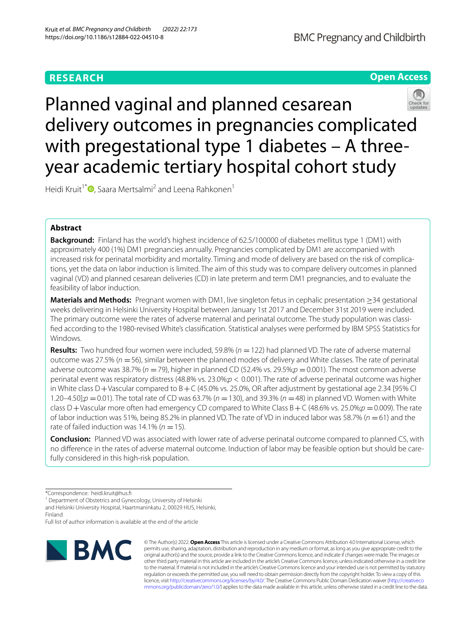# **RESEARCH**



Planned vaginal and planned cesarean delivery outcomes in pregnancies complicated with pregestational type 1 diabetes – A threeyear academic tertiary hospital cohort study

Heidi Kruit<sup>1\*</sup> D[,](https://orcid.org/0000-0003-0350-7088) Saara Mertsalmi<sup>2</sup> and Leena Rahkonen<sup>1</sup>

# **Abstract**

**Background:** Finland has the world's highest incidence of 62.5/100000 of diabetes mellitus type 1 (DM1) with approximately 400 (1%) DM1 pregnancies annually. Pregnancies complicated by DM1 are accompanied with increased risk for perinatal morbidity and mortality. Timing and mode of delivery are based on the risk of complications, yet the data on labor induction is limited. The aim of this study was to compare delivery outcomes in planned vaginal (VD) and planned cesarean deliveries (CD) in late preterm and term DM1 pregnancies, and to evaluate the feasibility of labor induction.

**Materials and Methods:** Pregnant women with DM1, live singleton fetus in cephalic presentation ≥34 gestational weeks delivering in Helsinki University Hospital between January 1st 2017 and December 31st 2019 were included. The primary outcome were the rates of adverse maternal and perinatal outcome. The study population was classifed according to the 1980-revised White's classifcation. Statistical analyses were performed by IBM SPSS Statistics for Windows.

**Results:** Two hundred four women were included, 59.8% (*n* =122) had planned VD. The rate of adverse maternal outcome was 27.5% (*n* =56), similar between the planned modes of delivery and White classes. The rate of perinatal adverse outcome was 38.7% (*n* =79), higher in planned CD (52.4% vs. 29.5%;*p* =0.001). The most common adverse perinatal event was respiratory distress (48.8% vs. 23.0%;*p* < 0.001). The rate of adverse perinatal outcome was higher in White class  $D+V$ ascular compared to  $B+C$  (45.0% vs. 25.0%, OR after adjustment by gestational age 2.34 [95% CI 1.20–4.50];*p* =0.01). The total rate of CD was 63.7% (*n* =130), and 39.3% (*n* =48) in planned VD. Women with White class D+Vascular more often had emergency CD compared to White Class B+C (48.6% vs. 25.0%;*p* =0.009). The rate of labor induction was 51%, being 85.2% in planned VD. The rate of VD in induced labor was 58.7% (*n* =61) and the rate of failed induction was  $14.1\%$  ( $n = 15$ ).

**Conclusion:** Planned VD was associated with lower rate of adverse perinatal outcome compared to planned CS, with no diference in the rates of adverse maternal outcome. Induction of labor may be feasible option but should be carefully considered in this high-risk population.

<sup>1</sup> Department of Obstetrics and Gynecology, University of Helsinki and Helsinki University Hospital, Haartmaninkatu 2, 00029 HUS, Helsinki,

Finland

Full list of author information is available at the end of the article



© The Author(s) 2022. **Open Access** This article is licensed under a Creative Commons Attribution 4.0 International License, which permits use, sharing, adaptation, distribution and reproduction in any medium or format, as long as you give appropriate credit to the original author(s) and the source, provide a link to the Creative Commons licence, and indicate if changes were made. The images or other third party material in this article are included in the article's Creative Commons licence, unless indicated otherwise in a credit line to the material. If material is not included in the article's Creative Commons licence and your intended use is not permitted by statutory regulation or exceeds the permitted use, you will need to obtain permission directly from the copyright holder. To view a copy of this licence, visit [http://creativecommons.org/licenses/by/4.0/.](http://creativecommons.org/licenses/by/4.0/) The Creative Commons Public Domain Dedication waiver ([http://creativeco](http://creativecommons.org/publicdomain/zero/1.0/) [mmons.org/publicdomain/zero/1.0/](http://creativecommons.org/publicdomain/zero/1.0/)) applies to the data made available in this article, unless otherwise stated in a credit line to the data.

<sup>\*</sup>Correspondence: heidi.kruit@hus.f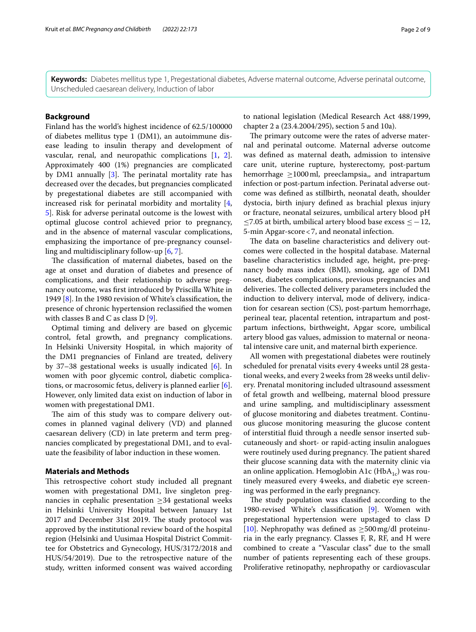**Keywords:** Diabetes mellitus type 1, Pregestational diabetes, Adverse maternal outcome, Adverse perinatal outcome, Unscheduled caesarean delivery, Induction of labor

# **Background**

Finland has the world's highest incidence of 62.5/100000 of diabetes mellitus type 1 (DM1), an autoimmune disease leading to insulin therapy and development of vascular, renal, and neuropathic complications [[1](#page-7-0), [2](#page-7-1)]. Approximately 400 (1%) pregnancies are complicated by DM1 annually  $[3]$  $[3]$ . The perinatal mortality rate has decreased over the decades, but pregnancies complicated by pregestational diabetes are still accompanied with increased risk for perinatal morbidity and mortality [\[4](#page-7-3), [5\]](#page-7-4). Risk for adverse perinatal outcome is the lowest with optimal glucose control achieved prior to pregnancy, and in the absence of maternal vascular complications, emphasizing the importance of pre-pregnancy counselling and multidisciplinary follow-up [\[6](#page-7-5), [7](#page-7-6)].

The classification of maternal diabetes, based on the age at onset and duration of diabetes and presence of complications, and their relationship to adverse pregnancy outcome, was frst introduced by Priscilla White in 1949 [[8\]](#page-7-7). In the 1980 revision of White's classifcation, the presence of chronic hypertension reclassifed the women with classes B and C as class  $D$  [[9\]](#page-7-8).

Optimal timing and delivery are based on glycemic control, fetal growth, and pregnancy complications. In Helsinki University Hospital, in which majority of the DM1 pregnancies of Finland are treated, delivery by 37–38 gestational weeks is usually indicated [\[6](#page-7-5)]. In women with poor glycemic control, diabetic complications, or macrosomic fetus, delivery is planned earlier [\[6](#page-7-5)]. However, only limited data exist on induction of labor in women with pregestational DM1.

The aim of this study was to compare delivery outcomes in planned vaginal delivery (VD) and planned caesarean delivery (CD) in late preterm and term pregnancies complicated by pregestational DM1, and to evaluate the feasibility of labor induction in these women.

# **Materials and Methods**

This retrospective cohort study included all pregnant women with pregestational DM1, live singleton pregnancies in cephalic presentation  $\geq$  34 gestational weeks in Helsinki University Hospital between January 1st 2017 and December 31st 2019. The study protocol was approved by the institutional review board of the hospital region (Helsinki and Uusimaa Hospital District Committee for Obstetrics and Gynecology, HUS/3172/2018 and HUS/54/2019). Due to the retrospective nature of the study, written informed consent was waived according to national legislation (Medical Research Act 488/1999, chapter 2 a (23.4.2004/295), section 5 and 10a).

The primary outcome were the rates of adverse maternal and perinatal outcome. Maternal adverse outcome was defned as maternal death, admission to intensive care unit, uterine rupture, hysterectomy, post-partum hemorrhage  $\geq 1000$  ml, preeclampsia,, and intrapartum infection or post-partum infection. Perinatal adverse outcome was defned as stillbirth, neonatal death, shoulder dystocia, birth injury defned as brachial plexus injury or fracture, neonatal seizures, umbilical artery blood pH ≤7.05 at birth, umbilical artery blood base excess ≤−12, 5-min Apgar-score<7, and neonatal infection.

The data on baseline characteristics and delivery outcomes were collected in the hospital database. Maternal baseline characteristics included age, height, pre-pregnancy body mass index (BMI), smoking, age of DM1 onset, diabetes complications, previous pregnancies and deliveries. The collected delivery parameters included the induction to delivery interval, mode of delivery, indication for cesarean section (CS), post-partum hemorrhage, perineal tear, placental retention, intrapartum and postpartum infections, birthweight, Apgar score, umbilical artery blood gas values, admission to maternal or neonatal intensive care unit, and maternal birth experience.

All women with pregestational diabetes were routinely scheduled for prenatal visits every 4weeks until 28 gestational weeks, and every 2weeks from 28weeks until delivery. Prenatal monitoring included ultrasound assessment of fetal growth and wellbeing, maternal blood pressure and urine sampling, and multidisciplinary assessment of glucose monitoring and diabetes treatment. Continuous glucose monitoring measuring the glucose content of interstitial fuid through a needle sensor inserted subcutaneously and short- or rapid-acting insulin analogues were routinely used during pregnancy. The patient shared their glucose scanning data with the maternity clinic via an online application. Hemoglobin A1c (HbA<sub>1c</sub>) was routinely measured every 4weeks, and diabetic eye screening was performed in the early pregnancy.

The study population was classified according to the 1980-revised White's classifcation [\[9\]](#page-7-8). Women with pregestational hypertension were upstaged to class D [[10\]](#page-7-9). Nephropathy was defined as  $\geq$ 500 mg/dl proteinuria in the early pregnancy. Classes F, R, RF, and H were combined to create a "Vascular class" due to the small number of patients representing each of these groups. Proliferative retinopathy, nephropathy or cardiovascular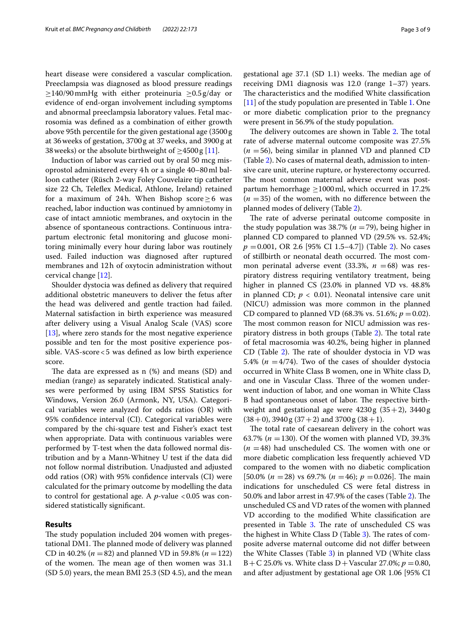heart disease were considered a vascular complication. Preeclampsia was diagnosed as blood pressure readings  $\geq$ 140/90 mmHg with either proteinuria  $\geq$ 0.5 g/day or evidence of end-organ involvement including symptoms and abnormal preeclampsia laboratory values. Fetal macrosomia was defned as a combination of either growth above 95th percentile for the given gestational age (3500g at 36weeks of gestation, 3700g at 37weeks, and 3900g at 38 weeks) or the absolute birthweight of  $\geq$ 4500 g [[11\]](#page-7-10).

Induction of labor was carried out by oral 50 mcg misoprostol administered every 4h or a single 40–80ml balloon catheter (Rüsch 2-way Foley Couvelaire tip catheter size 22 Ch, Telefex Medical, Athlone, Ireland) retained for a maximum of 24h. When Bishop score  $\geq 6$  was reached, labor induction was continued by amniotomy in case of intact amniotic membranes, and oxytocin in the absence of spontaneous contractions. Continuous intrapartum electronic fetal monitoring and glucose monitoring minimally every hour during labor was routinely used. Failed induction was diagnosed after ruptured membranes and 12h of oxytocin administration without cervical change [\[12\]](#page-7-11).

Shoulder dystocia was defned as delivery that required additional obstetric maneuvers to deliver the fetus after the head was delivered and gentle traction had failed. Maternal satisfaction in birth experience was measured after delivery using a Visual Analog Scale (VAS) score [[13\]](#page-7-12), where zero stands for the most negative experience possible and ten for the most positive experience possible. VAS-score<5 was defned as low birth experience score.

The data are expressed as  $n$  (%) and means (SD) and median (range) as separately indicated. Statistical analyses were performed by using IBM SPSS Statistics for Windows, Version 26.0 (Armonk, NY, USA). Categorical variables were analyzed for odds ratios (OR) with 95% confdence interval (CI). Categorical variables were compared by the chi-square test and Fisher's exact test when appropriate. Data with continuous variables were performed by T-test when the data followed normal distribution and by a Mann-Whitney U test if the data did not follow normal distribution. Unadjusted and adjusted odd ratios (OR) with 95% confdence intervals (CI) were calculated for the primary outcome by modelling the data to control for gestational age. A  $p$ -value <0.05 was considered statistically signifcant.

## **Results**

The study population included 204 women with pregestational DM1. The planned mode of delivery was planned CD in 40.2% ( $n = 82$ ) and planned VD in 59.8% ( $n = 122$ ) of the women. The mean age of then women was 31.1 (SD 5.0) years, the mean BMI 25.3 (SD 4.5), and the mean

gestational age  $37.1$  (SD 1.1) weeks. The median age of receiving DM1 diagnosis was 12.0 (range 1–37) years. The characteristics and the modified White classification [[11\]](#page-7-10) of the study population are presented in Table [1.](#page-3-0) One or more diabetic complication prior to the pregnancy were present in 56.9% of the study population.

The delivery outcomes are shown in Table [2](#page-4-0). The total rate of adverse maternal outcome composite was 27.5%  $(n = 56)$ , being similar in planned VD and planned CD (Table [2](#page-4-0)). No cases of maternal death, admission to intensive care unit, uterine rupture, or hysterectomy occurred. The most common maternal adverse event was postpartum hemorrhage ≥1000ml, which occurred in 17.2%  $(n = 35)$  of the women, with no difference between the planned modes of delivery (Table [2](#page-4-0)).

The rate of adverse perinatal outcome composite in the study population was  $38.7\%$  ( $n = 79$ ), being higher in planned CD compared to planned VD (29.5% vs. 52.4%; *p* =0.001, OR 2.6 [95% CI 1.5–4.7]) (Table [2\)](#page-4-0). No cases of stillbirth or neonatal death occurred. The most common perinatal adverse event (33.3%,  $n = 68$ ) was respiratory distress requiring ventilatory treatment, being higher in planned CS (23.0% in planned VD vs. 48.8% in planned CD;  $p < 0.01$ ). Neonatal intensive care unit (NICU) admission was more common in the planned CD compared to planned VD (68.3% vs. 51.6%;  $p = 0.02$ ). The most common reason for NICU admission was respiratory distress in both groups (Table  $2$ ). The total rate of fetal macrosomia was 40.2%, being higher in planned CD (Table [2\)](#page-4-0). The rate of shoulder dystocia in VD was 5.4% ( $n = 4/74$ ). Two of the cases of shoulder dystocia occurred in White Class B women, one in White class D, and one in Vascular Class. Three of the women underwent induction of labor, and one woman in White Class B had spontaneous onset of labor. The respective birthweight and gestational age were  $4230g (35+2)$ ,  $3440g$  $(38+0)$ , 3940 g $(37+2)$  and 3700 g $(38+1)$ .

The total rate of caesarean delivery in the cohort was 63.7% ( $n = 130$ ). Of the women with planned VD, 39.3%  $(n = 48)$  had unscheduled CS. The women with one or more diabetic complication less frequently achieved VD compared to the women with no diabetic complication  $[50.0\%~(n=28)$  vs 69.7%  $(n=46); p=0.026$ . The main indications for unscheduled CS were fetal distress in 50.0% and labor arrest in 47.9% of the cases (Table [2\)](#page-4-0). The unscheduled CS and VD rates of the women with planned VD according to the modifed White classifcation are presented in Table [3.](#page-5-0) The rate of unscheduled CS was the highest in White Class D (Table  $3$ ). The rates of composite adverse maternal outcome did not difer between the White Classes (Table [3](#page-5-0)) in planned VD (White class  $B + C$  25.0% vs. White class  $D + V$ ascular 27.0%;  $p = 0.80$ , and after adjustment by gestational age OR 1.06 [95% CI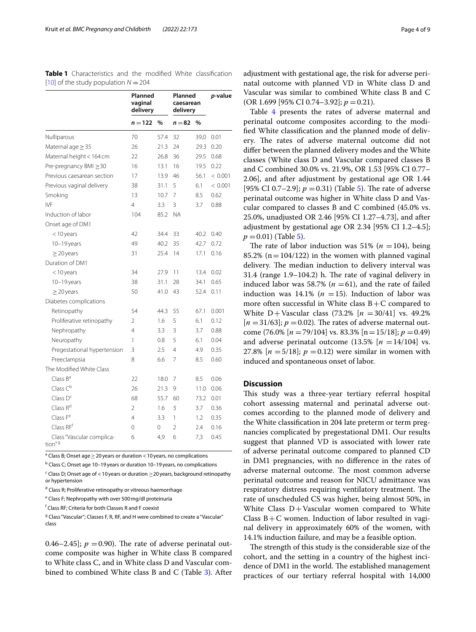<span id="page-3-0"></span>

| <b>Table 1</b> Characteristics and the modified White classification |  |  |  |
|----------------------------------------------------------------------|--|--|--|
| [10] of the study population $N = 204$                               |  |  |  |

|                                           | Planned<br>vaginal<br>delivery |      | Planned<br>caesarean<br>delivery |      | p-value |
|-------------------------------------------|--------------------------------|------|----------------------------------|------|---------|
|                                           | $n = 122$                      | %    | $n = 82$                         | %    |         |
| Nulliparous                               | 70                             | 57.4 | 32                               | 39,0 | 0.01    |
| Maternal age $\geq$ 35                    | 26                             | 21.3 | 24                               | 29.3 | 0.20    |
| Maternal height < 164 cm                  | 22                             | 26.8 | 36                               | 29.5 | 0.68    |
| Pre-pregnancy BMI $\geq$ 30               | 16                             | 13.1 | 16                               | 19.5 | 0.22    |
| Previous caesarean section                | 17                             | 13.9 | 46                               | 56.1 | < 0.001 |
| Previous vaginal delivery                 | 38                             | 31.1 | 5                                | 6.1  | < 0.001 |
| Smoking                                   | 13                             | 10.7 | 7                                | 8.5  | 0.62    |
| IVF                                       | 4                              | 3.3  | 3                                | 3.7  | 0.88    |
| Induction of labor                        | 104                            | 85.2 | <b>NA</b>                        |      |         |
| Onset age of DM1                          |                                |      |                                  |      |         |
| <10 years                                 | 42                             | 34.4 | 33                               | 40.2 | 0.40    |
| 10-19 years                               | 49                             | 40.2 | 35                               | 42.7 | 0.72    |
| $\geq$ 20 years                           | 31                             | 25.4 | 14                               | 17.1 | 0.16    |
| Duration of DM1                           |                                |      |                                  |      |         |
| <10 years                                 | 34                             | 27.9 | 11                               | 13.4 | 0.02    |
| $10-19$ years                             | 38                             | 31.1 | 28                               | 34.1 | 0.65    |
| $\geq$ 20 years                           | 50                             | 41.0 | 43                               | 52.4 | 0.11    |
| Diabetes complications                    |                                |      |                                  |      |         |
| Retinopathy                               | 54                             | 44.3 | 55                               | 67.1 | 0.001   |
| Proliferative retinopathy                 | $\overline{2}$                 | 1.6  | 5                                | 6.1  | 0.12    |
| Nephropathy                               | 4                              | 3.3  | 3                                | 3.7  | 0.88    |
| Neuropathy                                | 1                              | 0.8  | 5                                | 6.1  | 0.04    |
| Pregestational hypertension               | 3                              | 2.5  | 4                                | 4.9  | 0.35    |
| Preeclampsia                              | 8                              | 6.6  | 7                                | 8.5  | 0.60    |
| The Modified White Class                  |                                |      |                                  |      |         |
| Class B <sup>a</sup>                      | 22                             | 18.0 | 7                                | 8.5  | 0.06    |
| Class $C^b$                               | 26                             | 21.3 | 9                                | 11.0 | 0.06    |
| Class D <sup>c</sup>                      | 68                             | 55.7 | 60                               | 73.2 | 0.01    |
| Class R <sup>d</sup>                      | $\overline{2}$                 | 1.6  | 3                                | 3.7  | 0.36    |
| Class $Fe$                                | 4                              | 3.3  | 1                                | 1.2  | 0.35    |
| Class RFf                                 | 0                              | 0    | $\overline{2}$                   | 2.4  | 0.16    |
| Class "Vascular complica-<br>$t$ ion" $9$ | 6                              | 4,9  | 6                                | 7,3  | 0.45    |

 $^{\rm a}$  Class B; Onset age  $\geq$  20 years or duration < 10 years, no complications

<sup>b</sup> Class C; Onset age 10–19 years or duration 10–19 years, no complications

 $\textsf{c}$  Class D; Onset age of < 10 years or duration  $\geq$ 20 years, background retinopathy or hypertension

<sup>d</sup> Class R; Proliferative retinopathy or vitreous haemorrhage

e Class F; Nephropathy with over 500mg/dl proteinuria

f Class RF; Criteria for both Classes R and F coexist

<sup>g</sup> Class "Vascular"; Classes F, R, RF, and H were combined to create a "Vascular" class

0.46–2.45];  $p = 0.90$ ). The rate of adverse perinatal outcome composite was higher in White class B compared to White class C, and in White class D and Vascular combined to combined White class B and C (Table [3\)](#page-5-0). After adjustment with gestational age, the risk for adverse perinatal outcome with planned VD in White class D and Vascular was similar to combined White class B and C (OR 1.699 [95% CI 0.74–3.92]; *p* =0.21).

Table [4](#page-6-0) presents the rates of adverse maternal and perinatal outcome composites according to the modifed White classifcation and the planned mode of delivery. The rates of adverse maternal outcome did not difer between the planned delivery modes and the White classes (White class D and Vascular compared classes B and C combined 30.0% vs. 21.9%, OR 1.53 [95% CI 0.77– 2.06], and after adjustment by gestational age OR 1.44 [95% CI 0.7–2.9];  $p = 0.31$ ) (Table [5\)](#page-7-13). The rate of adverse perinatal outcome was higher in White class D and Vascular compared to classes B and C combined (45.0% vs. 25.0%, unadjusted OR 2.46 [95% CI 1.27–4.73], and after adjustment by gestational age OR 2.34 [95% CI 1.2–4.5];  $p = 0.01$  (Table [5](#page-7-13)).

The rate of labor induction was 51% ( $n = 104$ ), being 85.2% ( $n=104/122$ ) in the women with planned vaginal delivery. The median induction to delivery interval was 31.4 (range  $1.9-104.2$ ) h. The rate of vaginal delivery in induced labor was 58.7% ( $n = 61$ ), and the rate of failed induction was  $14.1\%$  ( $n = 15$ ). Induction of labor was more often successful in White class  $B+C$  compared to White D+Vascular class (73.2% [*n* =30/41] vs. 49.2%  $[n = 31/63]$ ;  $p = 0.02$ ). The rates of adverse maternal outcome (76.0%  $[n = 79/104]$  vs. 83.3%  $[n = 15/18]$ ;  $p = 0.49$ ) and adverse perinatal outcome  $(13.5\%$  [ $n = 14/104$ ] vs. 27.8%  $[n = 5/18]$ ;  $p = 0.12$ ) were similar in women with induced and spontaneous onset of labor.

# **Discussion**

This study was a three-year tertiary referral hospital cohort assessing maternal and perinatal adverse outcomes according to the planned mode of delivery and the White classifcation in 204 late preterm or term pregnancies complicated by pregestational DM1. Our results suggest that planned VD is associated with lower rate of adverse perinatal outcome compared to planned CD in DM1 pregnancies, with no diference in the rates of adverse maternal outcome. The most common adverse perinatal outcome and reason for NICU admittance was respiratory distress requiring ventilatory treatment. The rate of unscheduled CS was higher, being almost 50%, in White Class  $D+V$ ascular women compared to White Class  $B+C$  women. Induction of labor resulted in vaginal delivery in approximately 60% of the women, with 14.1% induction failure, and may be a feasible option.

The strength of this study is the considerable size of the cohort, and the setting in a country of the highest incidence of DM1 in the world. The established management practices of our tertiary referral hospital with 14,000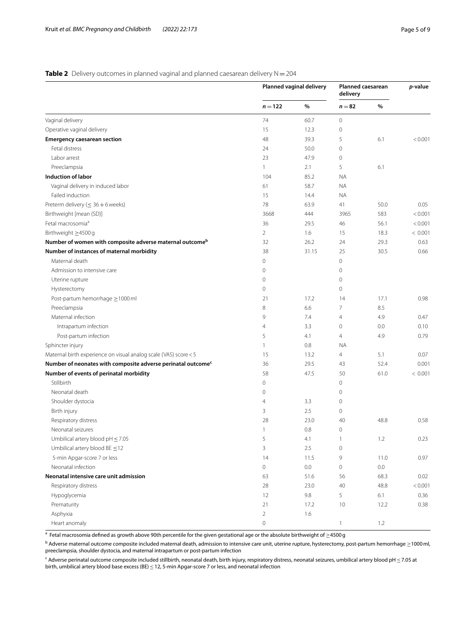# <span id="page-4-0"></span>**Table 2** Delivery outcomes in planned vaginal and planned caesarean delivery N = 204

|                                                                          |                     | Planned vaginal delivery | Planned caesarean<br>delivery |         | p-value |
|--------------------------------------------------------------------------|---------------------|--------------------------|-------------------------------|---------|---------|
|                                                                          | $n = 122$           | $\%$                     | $n = 82$                      | $\%$    |         |
| Vaginal delivery                                                         | 74                  | 60.7                     | $\circ$                       |         |         |
| Operative vaginal delivery                                               | 15                  | 12.3                     | $\circ$                       |         |         |
| <b>Emergency caesarean section</b>                                       | 48                  | 39.3                     | 5                             | 6.1     | < 0.001 |
| Fetal distress                                                           | 24                  | 50.0                     | $\mathbf{0}$                  |         |         |
| Labor arrest                                                             | 23                  | 47.9                     | $\boldsymbol{0}$              |         |         |
| Preeclampsia                                                             | 1                   | 2.1                      | 5                             | 6.1     |         |
| Induction of labor                                                       | 104                 | 85.2                     | <b>NA</b>                     |         |         |
| Vaginal delivery in induced labor                                        | 61                  | 58.7                     | <b>NA</b>                     |         |         |
| Failed induction                                                         | 15                  | 14.4                     | <b>NA</b>                     |         |         |
| Preterm delivery ( $\leq 36+6$ weeks)                                    | 78                  | 63.9                     | 41                            | 50.0    | 0.05    |
| Birthweight [mean (SD)]                                                  | 3668                | 444                      | 3965                          | 583     | < 0.001 |
| Fetal macrosomia <sup>a</sup>                                            | 36                  | 29.5                     | 46                            | 56.1    | < 0.001 |
| Birthweight ≥4500 g                                                      | $\overline{2}$      | 1.6                      | 15                            | 18.3    | < 0.001 |
| Number of women with composite adverse maternal outcome <sup>b</sup>     | 32                  | 26.2                     | 24                            | 29.3    | 0.63    |
| Number of instances of maternal morbidity                                | 38                  | 31.15                    | 25                            | 30.5    | 0.66    |
| Maternal death                                                           | 0                   |                          | $\mathbf 0$                   |         |         |
| Admission to intensive care                                              | 0                   |                          | $\boldsymbol{0}$              |         |         |
| Uterine rupture                                                          | $\mathbf{0}$        |                          | $\circ$                       |         |         |
| Hysterectomy                                                             | $\mathbf{0}$        |                          | $\circ$                       |         |         |
| Post-partum hemorrhage ≥1000 ml                                          | 21                  | 17.2                     | 14                            | 17.1    | 0.98    |
| Preeclampsia                                                             | 8                   | 6.6                      | 7                             | 8.5     |         |
| Maternal infection                                                       | 9                   | 7.4                      | $\overline{4}$                | 4.9     | 0.47    |
| Intrapartum infection                                                    | 4                   | 3.3                      | $\circ$                       | 0.0     | 0.10    |
| Post-partum infection                                                    | 5                   | 4.1                      | 4                             | 4.9     | 0.79    |
| Sphincter injury                                                         | 1                   | 0.8                      | <b>NA</b>                     |         |         |
| Maternal birth experience on visual analog scale (VAS) score < 5         | 15                  | 13.2                     | 4                             | 5.1     | 0.07    |
| Number of neonates with composite adverse perinatal outcome <sup>c</sup> | 36                  | 29.5                     | 43                            | 52.4    | 0.001   |
| Number of events of perinatal morbidity                                  | 58                  | 47.5                     | 50                            | 61.0    | < 0.001 |
| Stillbirth                                                               | 0                   |                          | 0                             |         |         |
| Neonatal death                                                           | 0                   |                          | $\circ$                       |         |         |
| Shoulder dystocia                                                        | 4                   | 3.3                      | 0                             |         |         |
| Birth injury                                                             | 3                   | 2.5                      | 0                             |         |         |
| Respiratory distress                                                     | 28                  | 23.0                     | 40                            | 48.8    | 0.58    |
| Neonatal seizures                                                        | 1                   | 0.8                      | 0                             |         |         |
| Umbilical artery blood $pH \leq 7.05$                                    | 5                   | 4.1                      |                               | 1.2     | 0.23    |
| Umbilical artery blood $BE \leq 12$                                      | 3                   | 2.5                      | $\mathbf 0$                   |         |         |
| 5-min Apgar-score 7 or less                                              | 14                  | 11.5                     | 9                             | 11.0    | 0.97    |
| Neonatal infection                                                       | $\mathsf{O}\xspace$ | 0.0                      | $\mathsf{O}\xspace$           | $0.0\,$ |         |
| Neonatal intensive care unit admission                                   | 63                  | 51.6                     | 56                            | 68.3    | 0.02    |
| Respiratory distress                                                     | 28                  | 23.0                     | 40                            | 48.8    | < 0.001 |
| Hypoglycemia                                                             | 12                  | $9.8\,$                  | 5                             | 6.1     | 0.36    |
| Prematurity                                                              | 21                  | 17.2                     | 10                            | 12.2    | 0.38    |
| Asphyxia                                                                 | $\overline{2}$      | 1.6                      |                               |         |         |
| Heart anomaly                                                            | $\mathbb O$         |                          | $\mathbf{1}$                  | 1.2     |         |

 $^{\rm a}$  Fetal macrosomia defined as growth above 90th percentile for the given gestational age or the absolute birthweight of  $\geq$ 4500 g

 $^{\rm b}$  Adverse maternal outcome composite included maternal death, admission to intensive care unit, uterine rupture, hysterectomy, post-partum hemorrhage  $\geq$ 1000 ml, preeclampsia, shoulder dystocia, and maternal intrapartum or post-partum infection

<sup>c</sup> Adverse perinatal outcome composite included stillbirth, neonatal death, birth injury, respiratory distress, neonatal seizures, umbilical artery blood pH ≤ 7.05 at birth, umbilical artery blood base excess (BE) ≤ 12, 5-min Apgar-score 7 or less, and neonatal infection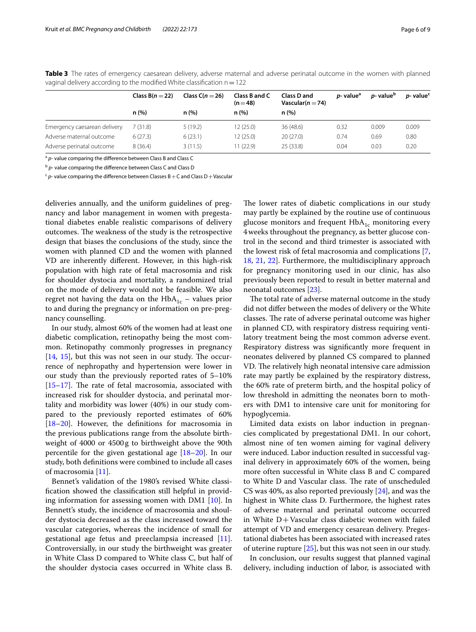|                              | Class $B(n=22)$ | Class $C(n = 26)$ | Class B and C<br>$(n=48)$ | <b>Class D and</b><br>Vascular $(n=74)$ | <i>p</i> -value <sup>a</sup> | <i>p</i> -value <sup>b</sup> | <i>p</i> -value <sup>c</sup> |
|------------------------------|-----------------|-------------------|---------------------------|-----------------------------------------|------------------------------|------------------------------|------------------------------|
|                              | n(%)            | n(%)              | n(%)                      | n(%)                                    |                              |                              |                              |
| Emergency caesarean delivery | 7(31.8)         | 5(19.2)           | 12(25.0)                  | 36 (48.6)                               | 0.32                         | 0.009                        | 0.009                        |
| Adverse maternal outcome     | 6(27.3)         | 6(23.1)           | 12(25.0)                  | 20(27.0)                                | 0.74                         | 0.69                         | 0.80                         |
| Adverse perinatal outcome    | 8(36.4)         | 3(11.5)           | 11 (22.9)                 | 25 (33.8)                               | 0.04                         | 0.03                         | 0.20                         |

<span id="page-5-0"></span>**Table 3** The rates of emergency caesarean delivery, adverse maternal and adverse perinatal outcome in the women with planned vaginal delivery according to the modified White classification  $n=122$ 

<sup>a</sup> p- value comparing the difference between Class B and Class C

<sup>b</sup> *p*- value comparing the diference between Class C and Class D

 $c$   $p$ - value comparing the difference between Classes B + C and Class D + Vascular

deliveries annually, and the uniform guidelines of pregnancy and labor management in women with pregestational diabetes enable realistic comparisons of delivery outcomes. The weakness of the study is the retrospective design that biases the conclusions of the study, since the women with planned CD and the women with planned VD are inherently diferent. However, in this high-risk population with high rate of fetal macrosomia and risk for shoulder dystocia and mortality, a randomized trial on the mode of delivery would not be feasible. We also regret not having the data on the  $HbA_{1c}$  – values prior to and during the pregnancy or information on pre-pregnancy counselling.

In our study, almost 60% of the women had at least one diabetic complication, retinopathy being the most common. Retinopathy commonly progresses in pregnancy  $[14, 15]$  $[14, 15]$  $[14, 15]$  $[14, 15]$  $[14, 15]$ , but this was not seen in our study. The occurrence of nephropathy and hypertension were lower in our study than the previously reported rates of 5–10%  $[15–17]$  $[15–17]$  $[15–17]$  $[15–17]$ . The rate of fetal macrosomia, associated with increased risk for shoulder dystocia, and perinatal mortality and morbidity was lower (40%) in our study compared to the previously reported estimates of 60% [[18–](#page-8-1)[20](#page-8-2)]. However, the defnitions for macrosomia in the previous publications range from the absolute birthweight of 4000 or 4500g to birthweight above the 90th percentile for the given gestational age [[18–](#page-8-1)[20](#page-8-2)]. In our study, both defnitions were combined to include all cases of macrosomia [\[11\]](#page-7-10).

Bennet's validation of the 1980's revised White classifcation showed the classifcation still helpful in providing information for assessing women with DM1 [\[10](#page-7-9)]. In Bennett's study, the incidence of macrosomia and shoulder dystocia decreased as the class increased toward the vascular categories, whereas the incidence of small for gestational age fetus and preeclampsia increased [\[11](#page-7-10)]. Controversially, in our study the birthweight was greater in White Class D compared to White class C, but half of the shoulder dystocia cases occurred in White class B. The lower rates of diabetic complications in our study may partly be explained by the routine use of continuous glucose monitors and frequent  $HbA_{1c}$  monitoring every 4weeks throughout the pregnancy, as better glucose control in the second and third trimester is associated with the lowest risk of fetal macrosomia and complications [\[7](#page-7-6), [18,](#page-8-1) [21,](#page-8-3) [22\]](#page-8-4). Furthermore, the multidisciplinary approach for pregnancy monitoring used in our clinic, has also previously been reported to result in better maternal and neonatal outcomes [[23](#page-8-5)].

The total rate of adverse maternal outcome in the study did not difer between the modes of delivery or the White classes. The rate of adverse perinatal outcome was higher in planned CD, with respiratory distress requiring ventilatory treatment being the most common adverse event. Respiratory distress was signifcantly more frequent in neonates delivered by planned CS compared to planned VD. The relatively high neonatal intensive care admission rate may partly be explained by the respiratory distress, the 60% rate of preterm birth, and the hospital policy of low threshold in admitting the neonates born to mothers with DM1 to intensive care unit for monitoring for hypoglycemia.

Limited data exists on labor induction in pregnancies complicated by pregestational DM1. In our cohort, almost nine of ten women aiming for vaginal delivery were induced. Labor induction resulted in successful vaginal delivery in approximately 60% of the women, being more often successful in White class B and C compared to White D and Vascular class. The rate of unscheduled CS was 40%, as also reported previously [[24\]](#page-8-6), and was the highest in White class D. Furthermore, the highest rates of adverse maternal and perinatal outcome occurred in White  $D+V$ ascular class diabetic women with failed attempt of VD and emergency cesarean delivery. Pregestational diabetes has been associated with increased rates of uterine rupture [\[25\]](#page-8-7), but this was not seen in our study.

In conclusion, our results suggest that planned vaginal delivery, including induction of labor, is associated with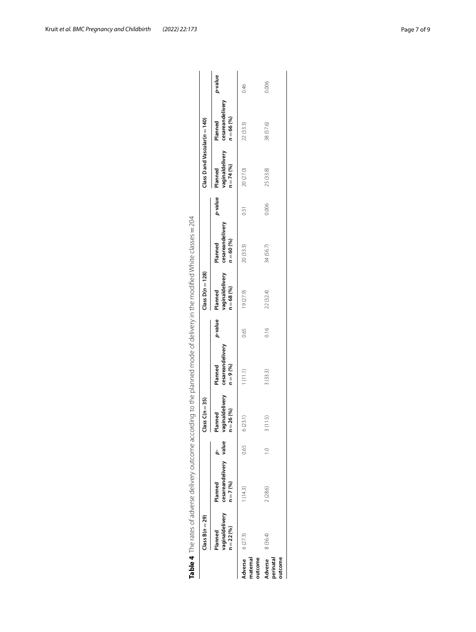| Table 4 The rates of adverse delivery outcome according to the planned mode of delivery in the modified White classes = 204<br>vaginaldelivery<br>$Class B(n = 29)$<br>$n = 22(96)$<br>Planned<br>8 (36.4)<br>6(27.3)<br>Adverse<br>Adverse<br>outcome<br>naternal | cesareandelivery value<br>$n = 7(96)$<br>Planned<br>1(14.3)<br>2(28.6) | 0.65 | vaginaldelivery<br>$lass C(n = 35)$<br>$n = 26 (%)$<br>lanned<br>3(11.5)<br>6(23.1) | cesareandelivery<br>$n = 9(96)$<br>Planned<br>1(11.1)<br>3(33.3) | p-value<br>0.16<br>0.65 | vaginaldelivery<br>Class $D(n = 128)$<br>$n = 68 (%)$<br>Planned<br>19 (27.9)<br>22 (32.4) | cesareandelivery<br>$n = 60(%)$<br>Planned<br>34 (56.7)<br>20(33.3) | p-value<br>0.006<br>0.51 | $Class$ D and Vascular( $n = 140$ )<br>vaginaldelivery<br>$n = 74(%)$<br>Planned<br>20 (27.0)<br>25 (33.8) | cesareandelivery<br>$n = 66(%)$<br>Planned<br>38 (57.6)<br>22 (33.3) | p-value<br>0.006<br>0.46 |
|--------------------------------------------------------------------------------------------------------------------------------------------------------------------------------------------------------------------------------------------------------------------|------------------------------------------------------------------------|------|-------------------------------------------------------------------------------------|------------------------------------------------------------------|-------------------------|--------------------------------------------------------------------------------------------|---------------------------------------------------------------------|--------------------------|------------------------------------------------------------------------------------------------------------|----------------------------------------------------------------------|--------------------------|
| outcome<br>perinatal                                                                                                                                                                                                                                               |                                                                        |      |                                                                                     |                                                                  |                         |                                                                                            |                                                                     |                          |                                                                                                            |                                                                      |                          |

<span id="page-6-0"></span>

| $\mathsf{I}$             |  |
|--------------------------|--|
| ă                        |  |
|                          |  |
|                          |  |
| 1                        |  |
|                          |  |
| ï                        |  |
| ī                        |  |
| j                        |  |
| J<br>i                   |  |
| $\overline{\mathbf{r}}$  |  |
|                          |  |
| l<br>Ì                   |  |
| l                        |  |
|                          |  |
|                          |  |
| j                        |  |
|                          |  |
| j<br>j                   |  |
|                          |  |
|                          |  |
| ī<br>l                   |  |
| j                        |  |
| ï                        |  |
| ׇ֖֚֚֬֕<br>i              |  |
| ç                        |  |
| d                        |  |
|                          |  |
| l<br>j                   |  |
| ł                        |  |
|                          |  |
| i<br>!<br>$\overline{)}$ |  |
| l                        |  |
| こうへいへい                   |  |
| ï                        |  |
|                          |  |
|                          |  |
| į                        |  |
| ;<br>;<br>i              |  |
|                          |  |
| l                        |  |
|                          |  |
| $\mathbf{I}$             |  |
|                          |  |
|                          |  |
| í                        |  |
| ı                        |  |
|                          |  |
| j                        |  |
|                          |  |
| ;<br>;<br>١              |  |
|                          |  |
| $\frac{1}{2}$<br>b       |  |
| l                        |  |
| $\frac{2}{1}$<br>Ì       |  |
| ı                        |  |
| \م<br>اها                |  |
|                          |  |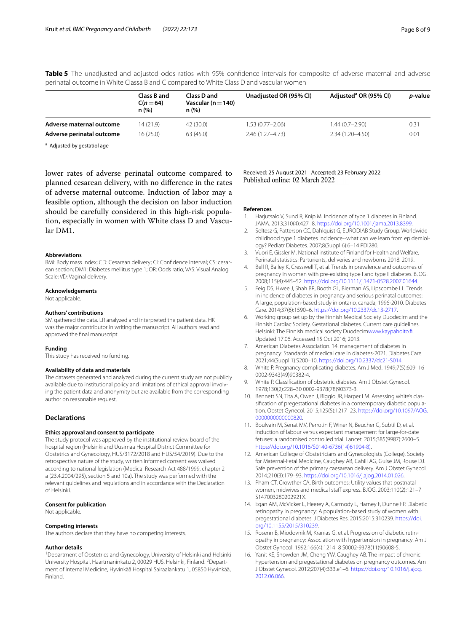|                           | Class B and<br>$C(n = 64)$<br>n(%) | Class D and<br>Vascular ( $n = 140$ )<br>n(%) | Unadjusted OR (95% CI) | Adjusted <sup>a</sup> OR (95% CI) | <i>p</i> -value |
|---------------------------|------------------------------------|-----------------------------------------------|------------------------|-----------------------------------|-----------------|
| Adverse maternal outcome  | 14 (21.9)                          | 42 (30.0)                                     | 1.53 (0.77-2.06)       | $1.44(0.7-2.90)$                  | 0.31            |
| Adverse perinatal outcome | 16 (25.0)                          | 63(45.0)                                      | $2.46(1.27 - 4.73)$    | 2.34 (1.20–4.50)                  | 0.01            |

<span id="page-7-13"></span>**Table 5** The unadjusted and adjusted odds ratios with 95% confdence intervals for composite of adverse maternal and adverse perinatal outcome in White Classa B and C compared to White Class D and vascular women

<sup>a</sup> Adjusted by gestatiol age

lower rates of adverse perinatal outcome compared to planned cesarean delivery, with no diference in the rates of adverse maternal outcome. Induction of labor may a feasible option, although the decision on labor induction should be carefully considered in this high-risk population, especially in women with White class D and Vascular DM1.

## **Abbreviations**

BMI: Body mass index; CD: Cesarean delivery; CI: Confdence interval; CS: cesarean section; DM1: Diabetes mellitus type 1; OR: Odds ratio; VAS: Visual Analog Scale: VD: Vaginal delivery.

#### **Acknowledgements**

Not applicable.

#### **Authors' contributions**

SM gathered the data. LR analyzed and interpreted the patient data. HK was the major contributor in writing the manuscript. All authors read and approved the fnal manuscript.

## **Funding**

This study has received no funding.

#### **Availability of data and materials**

The datasets generated and analyzed during the current study are not publicly available due to institutional policy and limitations of ethical approval involving the patient data and anonymity but are available from the corresponding author on reasonable request.

## **Declarations**

#### **Ethics approval and consent to participate**

The study protocol was approved by the institutional review board of the hospital region (Helsinki and Uusimaa Hospital District Committee for Obstetrics and Gynecology, HUS/3172/2018 and HUS/54/2019). Due to the retrospective nature of the study, written informed consent was waived according to national legislation (Medical Research Act 488/1999, chapter 2 a (23.4.2004/295), section 5 and 10a). The study was performed with the relevant guidelines and regulations and in accordance with the Declaration of Helsinki.

#### **Consent for publication**

Not applicable.

## **Competing interests**

The authors declare that they have no competing interests.

#### **Author details**

<sup>1</sup> Department of Obstetrics and Gynecology, University of Helsinki and Helsinki University Hospital, Haartmaninkatu 2, 00029 HUS, Helsinki, Finland. <sup>2</sup> Department of Internal Medicine, Hyvinkää Hospital Sairaalankatu 1, 05850 Hyvinkää, Finland.

Received: 25 August 2021 Accepted: 23 February 2022 Published online: 02 March 2022

#### **References**

- <span id="page-7-0"></span>1. Harjutsalo V, Sund R, Knip M. Incidence of type 1 diabetes in Finland. JAMA. 2013;310(4):427–8. <https://doi.org/10.1001/jama.2013.8399>.
- <span id="page-7-1"></span>2. Soltesz G, Patterson CC, Dahlquist G, EURODIAB Study Group. Worldwide childhood type 1 diabetes incidence--what can we learn from epidemiology? Pediatr Diabetes. 2007;8(Suppl 6):6–14 PDI280.
- <span id="page-7-2"></span>3. Vuori E, Gissler M, National institute of Finland for Health and Welfare. Perinatal statistics: Parturients, deliveries and newborns 2018. 2019.
- <span id="page-7-3"></span>4. Bell R, Bailey K, Cresswell T, et al. Trends in prevalence and outcomes of pregnancy in women with pre-existing type I and type II diabetes. BJOG. 2008;115(4):445–52. <https://doi.org/10.1111/j.1471-0528.2007.01644>.
- <span id="page-7-4"></span>5. Feig DS, Hwee J, Shah BR, Booth GL, Bierman AS, Lipscombe LL. Trends in incidence of diabetes in pregnancy and serious perinatal outcomes: A large, population-based study in ontario, canada, 1996-2010. Diabetes Care. 2014;37(6):1590–6. [https://doi.org/10.2337/dc13-2717.](https://doi.org/10.2337/dc13-2717)
- <span id="page-7-5"></span>6. Working group set up by the Finnish Medical Society Duodecim and the Finnish Cardiac Society. Gestational diabetes. Current care guidelines. Helsinki: The Finnish medical society Duodecim[www.kaypahoito.f](http://www.kaypahoito.fi). Updated 17.06. Accessed 15 Oct 2016; 2013.
- <span id="page-7-6"></span>7. American Diabetes Association. 14. management of diabetes in pregnancy: Standards of medical care in diabetes-2021. Diabetes Care. 2021;44(Suppl 1):S200–10. [https://doi.org/10.2337/dc21-S014.](https://doi.org/10.2337/dc21-S014)
- <span id="page-7-7"></span>8. White P. Pregnancy complicating diabetes. Am J Med. 1949;7(5):609–16 0002-9343(49)90382-4.
- <span id="page-7-8"></span>9. White P. Classification of obstetric diabetes. Am J Obstet Gynecol. 1978;130(2):228–30 0002-9378(78)90373-3.
- <span id="page-7-9"></span>10. Bennett SN, Tita A, Owen J, Biggio JR, Harper LM. Assessing white's classifcation of pregestational diabetes in a contemporary diabetic population. Obstet Gynecol. 2015;125(5):1217–23. [https://doi.org/10.1097/AOG.](https://doi.org/10.1097/AOG.0000000000000820) [0000000000000820](https://doi.org/10.1097/AOG.0000000000000820).
- <span id="page-7-10"></span>11. Boulvain M, Senat MV, Perrotin F, Winer N, Beucher G, Subtil D, et al. Induction of labour versus expectant management for large-for-date fetuses: a randomised controlled trial. Lancet. 2015;385(9987):2600–5. [https://doi.org/10.1016/S0140-6736\(14\)61904-8\)](https://doi.org/10.1016/S0140-6736(14)61904-8)).
- <span id="page-7-11"></span>12. American College of Obstetricians and Gynecologists (College), Society for Maternal-Fetal Medicine, Caughey AB, Cahill AG, Guise JM, Rouse DJ. Safe prevention of the primary caesarean delivery. Am J Obstet Gynecol. 2014;210(3):179–93. <https://doi.org/10.1016/j.ajog.2014.01.026>.
- <span id="page-7-12"></span>13. Pham CT, Crowther CA. Birth outcomes: Utility values that postnatal women, midwives and medical staff express. BJOG. 2003;110(2):121-7 S147003280202921X.
- <span id="page-7-14"></span>14. Egan AM, McVicker L, Heerey A, Carmody L, Harney F, Dunne FP. Diabetic retinopathy in pregnancy: A population-based study of women with pregestational diabetes. J Diabetes Res. 2015;2015:310239. [https://doi.](https://doi.org/10.1155/2015/310239) [org/10.1155/2015/310239.](https://doi.org/10.1155/2015/310239)
- <span id="page-7-15"></span>15. Rosenn B, Miodovnik M, Kranias G, et al. Progression of diabetic retinopathy in pregnancy: Association with hypertension in pregnancy. Am J Obstet Gynecol. 1992;166(4):1214–8 S0002-9378(11)90608-5.
- 16. Yanit KE, Snowden JM, Cheng YW, Caughey AB. The impact of chronic hypertension and pregestational diabetes on pregnancy outcomes. Am J Obstet Gynecol. 2012;207(4):333.e1–6. [https://doi.org/10.1016/j.ajog.](https://doi.org/10.1016/j.ajog.2012.06.066) [2012.06.066](https://doi.org/10.1016/j.ajog.2012.06.066).